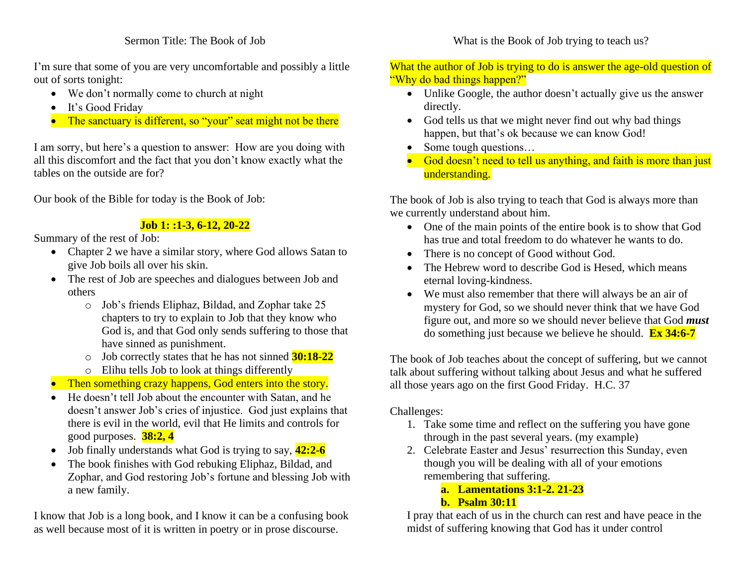#### Sermon Title: The Book of Job

I'm sure that some of you are very uncomfortable and possibly a little out of sorts tonight:

- We don't normally come to church at night
- It's Good Friday
- The sanctuary is different, so "your" seat might not be there

I am sorry, but here's a question to answer: How are you doing with all this discomfort and the fact that you don't know exactly what the tables on the outside are for?

Our book of the Bible for today is the Book of Job:

## **Job 1: :1-3, 6-12, 20-22**

Summary of the rest of Job:

- Chapter 2 we have a similar story, where God allows Satan to give Job boils all over his skin.
- The rest of Job are speeches and dialogues between Job and others
	- o Job's friends Eliphaz, Bildad, and Zophar take 25 chapters to try to explain to Job that they know who God is, and that God only sends suffering to those that have sinned as punishment.
	- o Job correctly states that he has not sinned **30:18-22**
	- o Elihu tells Job to look at things differently
- **Then something crazy happens, God enters into the story.**
- He doesn't tell Job about the encounter with Satan, and he doesn't answer Job's cries of injustice. God just explains that there is evil in the world, evil that He limits and controls for good purposes. **38:2, 4**
- Job finally understands what God is trying to say, **42:2-6**
- The book finishes with God rebuking Eliphaz, Bildad, and Zophar, and God restoring Job's fortune and blessing Job with a new family.

I know that Job is a long book, and I know it can be a confusing book as well because most of it is written in poetry or in prose discourse.

### What is the Book of Job trying to teach us?

### What the author of Job is trying to do is answer the age-old question of "Why do bad things happen?"

- Unlike Google, the author doesn't actually give us the answer directly.
- God tells us that we might never find out why bad things happen, but that's ok because we can know God!
- Some tough questions...
- God doesn't need to tell us anything, and faith is more than just understanding.

The book of Job is also trying to teach that God is always more than we currently understand about him.

- One of the main points of the entire book is to show that God has true and total freedom to do whatever he wants to do.
- There is no concept of Good without God.
- The Hebrew word to describe God is Hesed, which means eternal loving-kindness.
- We must also remember that there will always be an air of mystery for God, so we should never think that we have God figure out, and more so we should never believe that God *must* do something just because we believe he should. **Ex 34:6-7**

The book of Job teaches about the concept of suffering, but we cannot talk about suffering without talking about Jesus and what he suffered all those years ago on the first Good Friday. H.C. 37

# Challenges:

- 1. Take some time and reflect on the suffering you have gone through in the past several years. (my example)
- 2. Celebrate Easter and Jesus' resurrection this Sunday, even though you will be dealing with all of your emotions remembering that suffering.
	- **a. Lamentations 3:1-2. 21-23**
	- **b. Psalm 30:11**

I pray that each of us in the church can rest and have peace in the midst of suffering knowing that God has it under control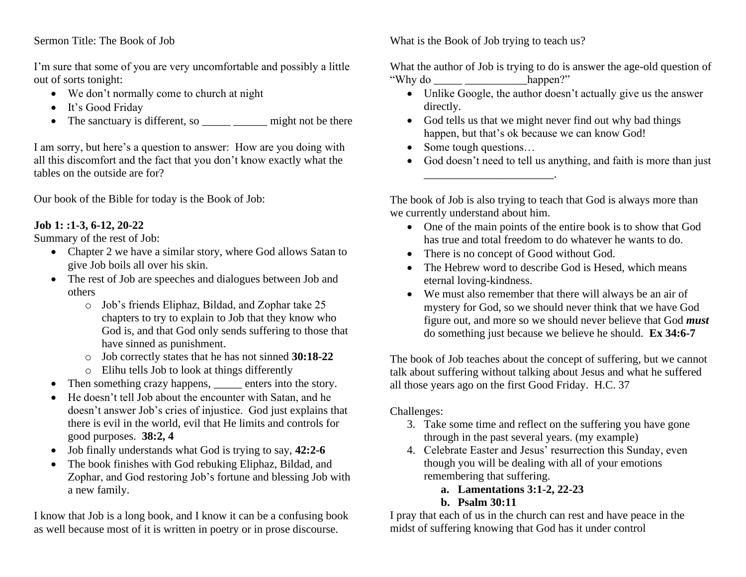#### Sermon Title: The Book of Job

I'm sure that some of you are very uncomfortable and possibly a little out of sorts tonight:

- We don't normally come to church at night
- It's Good Friday
- The sanctuary is different, so <u>equal that much in</u> might not be there

I am sorry, but here's a question to answer: How are you doing with all this discomfort and the fact that you don't know exactly what the tables on the outside are for?

Our book of the Bible for today is the Book of Job:

## **Job 1: :1-3, 6-12, 20-22**

Summary of the rest of Job:

- Chapter 2 we have a similar story, where God allows Satan to give Job boils all over his skin.
- The rest of Job are speeches and dialogues between Job and others
	- o Job's friends Eliphaz, Bildad, and Zophar take 25 chapters to try to explain to Job that they know who God is, and that God only sends suffering to those that have sinned as punishment.
	- o Job correctly states that he has not sinned **30:18-22**
	- o Elihu tells Job to look at things differently
- Then something crazy happens, enters into the story.
- He doesn't tell Job about the encounter with Satan, and he doesn't answer Job's cries of injustice. God just explains that there is evil in the world, evil that He limits and controls for good purposes. **38:2, 4**
- Job finally understands what God is trying to say, **42:2-6**
- The book finishes with God rebuking Eliphaz, Bildad, and Zophar, and God restoring Job's fortune and blessing Job with a new family.

I know that Job is a long book, and I know it can be a confusing book as well because most of it is written in poetry or in prose discourse.

What is the Book of Job trying to teach us?

What the author of Job is trying to do is answer the age-old question of "Why do \_\_\_\_\_ \_\_\_\_\_\_\_\_\_\_\_happen?"

- Unlike Google, the author doesn't actually give us the answer directly.
- God tells us that we might never find out why bad things happen, but that's ok because we can know God!
- Some tough questions...

\_\_\_\_\_\_\_\_\_\_\_\_\_\_\_\_\_\_\_\_\_\_\_.

• God doesn't need to tell us anything, and faith is more than just

The book of Job is also trying to teach that God is always more than we currently understand about him.

- One of the main points of the entire book is to show that God has true and total freedom to do whatever he wants to do.
- There is no concept of Good without God.
- The Hebrew word to describe God is Hesed, which means eternal loving-kindness.
- We must also remember that there will always be an air of mystery for God, so we should never think that we have God figure out, and more so we should never believe that God *must* do something just because we believe he should. **Ex 34:6-7**

The book of Job teaches about the concept of suffering, but we cannot talk about suffering without talking about Jesus and what he suffered all those years ago on the first Good Friday. H.C. 37

# Challenges:

- 3. Take some time and reflect on the suffering you have gone through in the past several years. (my example)
- 4. Celebrate Easter and Jesus' resurrection this Sunday, even though you will be dealing with all of your emotions remembering that suffering.
	- **a. Lamentations 3:1-2, 22-23**
	- **b. Psalm 30:11**

I pray that each of us in the church can rest and have peace in the midst of suffering knowing that God has it under control